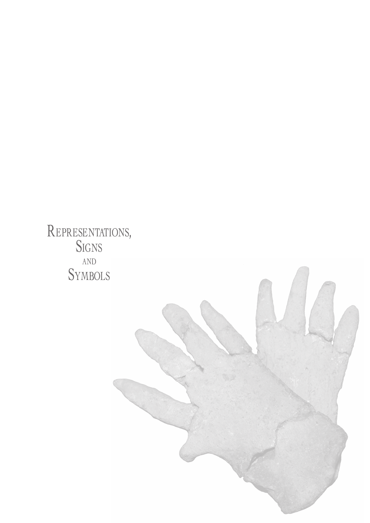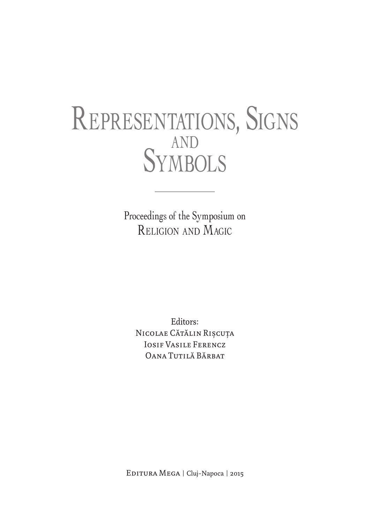## Representations, Signs and Symbols

Proceedings of the Symposium on Religion and Magic

Editors: NICOLAE CĂTĂLIN RIȘCUȚA Iosif Vasile Ferencz Oana Tutilă Bărbat

EDITURA MEGA | Cluj-Napoca | 2015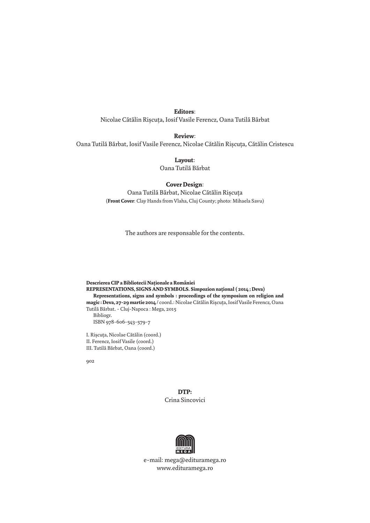## **Editors**:

Nicolae Cătălin Rişcuţa, Iosif Vasile Ferencz, Oana Tutilă Bărbat

**Review**:

Oana Tutilă Bărbat, Iosif Vasile Ferencz, Nicolae Cătălin Rişcuţa, Cătălin Cristescu

**Layout**: Oana Tutilă Bărbat

## **Cover Design**:

Oana Tutilă Bărbat, Nicolae Cătălin Rişcuţa (**Front Cover**: Clay Hands from Vlaha, Cluj County; photo: Mihaela Savu)

The authors are responsable for the contents.

**Descrierea CIP a Bibliotecii Naţionale a României REPRESENTATIONS, SIGNS AND SYMBOLS. Simpozion naţional ( 2014 ; Deva) Representations, signs and symbols : proceedings of the symposium on religion and magic : Deva, 27-29 martie 2014** / coord.: Nicolae Cătălin Rişcuţa, Iosif Vasile Ferencz, Oana Tutilă Bărbat. - Cluj-Napoca : Mega, 2015 Bibliogr. ISBN 978-606-543-579-7

I. Rişcuţa, Nicolae Cătălin (coord.) II. Ferencz, Iosif Vasile (coord.) III. Tutilă Bărbat, Oana (coord.)

902

**DTP:** Crina Sincovici



e-mail: mega@edituramega.ro www.edituramega.ro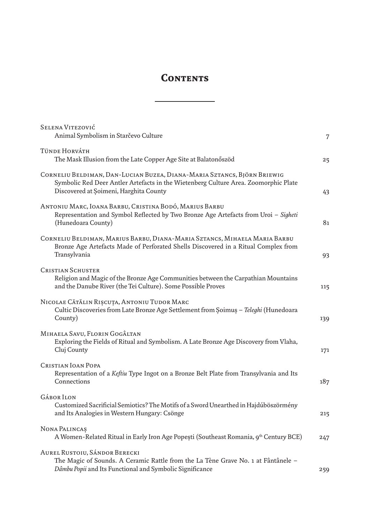## **Contents**

| SELENA VITEZOVIĆ<br>Animal Symbolism in Starčevo Culture                                                                                                                                                 | 7   |
|----------------------------------------------------------------------------------------------------------------------------------------------------------------------------------------------------------|-----|
| TÜNDE HORVÁTH<br>The Mask Illusion from the Late Copper Age Site at Balatonőszöd                                                                                                                         | 25  |
| CORNELIU BELDIMAN, DAN-LUCIAN BUZEA, DIANA-MARIA SZTANCS, BJÖRN BRIEWIG<br>Symbolic Red Deer Antler Artefacts in the Wietenberg Culture Area. Zoomorphic Plate<br>Discovered at Soimeni, Harghita County | 43  |
| ANTONIU MARC, IOANA BARBU, CRISTINA BODÓ, MARIUS BARBU<br>Representation and Symbol Reflected by Two Bronze Age Artefacts from Uroi - Sigheti<br>(Hunedoara County)                                      | 81  |
| CORNELIU BELDIMAN, MARIUS BARBU, DIANA-MARIA SZTANCS, MIHAELA MARIA BARBU<br>Bronze Age Artefacts Made of Perforated Shells Discovered in a Ritual Complex from<br>Transylvania                          | 93  |
| <b>CRISTIAN SCHUSTER</b><br>Religion and Magic of the Bronze Age Communities between the Carpathian Mountains<br>and the Danube River (the Tei Culture). Some Possible Proves                            | 115 |
| NICOLAE CĂTĂLIN RIȘCUȚA, ANTONIU TUDOR MARC<br>Cultic Discoveries from Late Bronze Age Settlement from Soimus - Teleghi (Hunedoara<br>County)                                                            | 139 |
| MIHAELA SAVU, FLORIN GOGÂLTAN<br>Exploring the Fields of Ritual and Symbolism. A Late Bronze Age Discovery from Vlaha,<br>Cluj County                                                                    | 171 |
| <b>CRISTIAN IOAN POPA</b><br>Representation of a Keftiu Type Ingot on a Bronze Belt Plate from Transylvania and Its<br>Connections                                                                       | 187 |
| <b>GÁBORILON</b><br>Customized Sacrificial Semiotics? The Motifs of a Sword Unearthed in Hajdúböszörmény<br>and Its Analogies in Western Hungary: Csönge                                                 | 215 |
| NONA PALINCAȘ<br>A Women-Related Ritual in Early Iron Age Popești (Southeast Romania, 9th Century BCE)                                                                                                   | 247 |
| AUREL RUSTOIU, SÁNDOR BERECKI<br>The Magic of Sounds. A Ceramic Rattle from the La Tène Grave No. 1 at Fântânele -<br>Dâmbu Popii and Its Functional and Symbolic Significance                           | 259 |